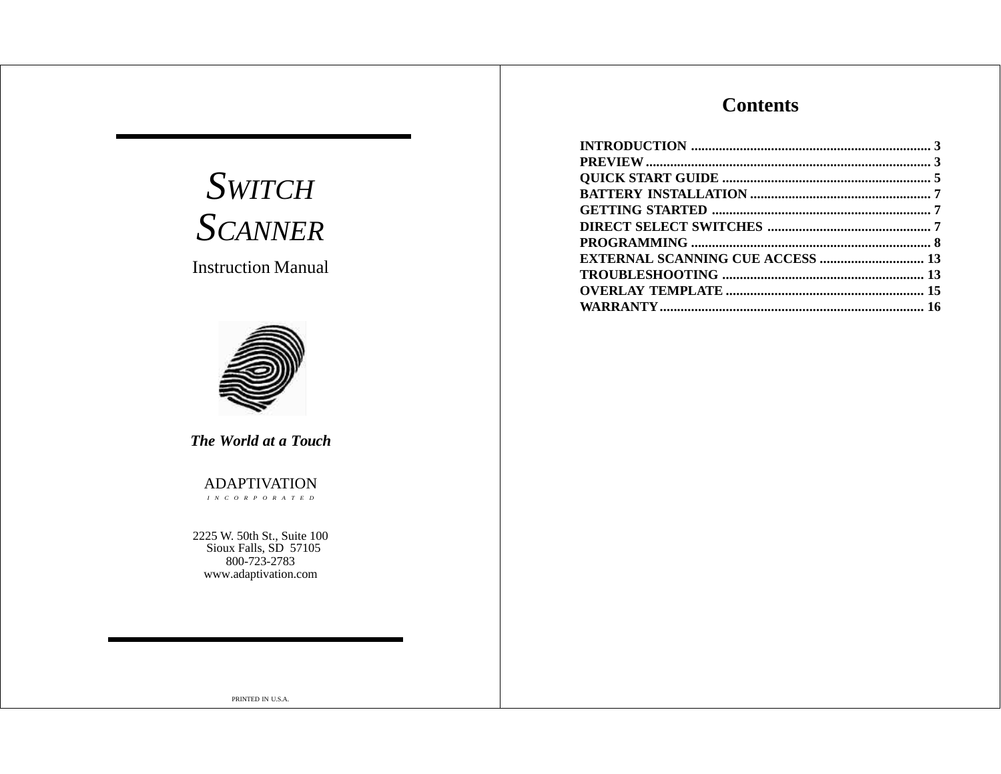# **Contents**

| <b>EXTERNAL SCANNING CUE ACCESS  13</b> |  |
|-----------------------------------------|--|
|                                         |  |
|                                         |  |
|                                         |  |

# *SWITCH SCANNER*

Instruction Manual



*The World at a Touch*

ADAPTIVATION *INCORPORATED*

2225 W. 50th St., Suite 100 Sioux Falls, SD 57105 800-723-2783 www.adaptivation.com

PRINTED IN U.S.A.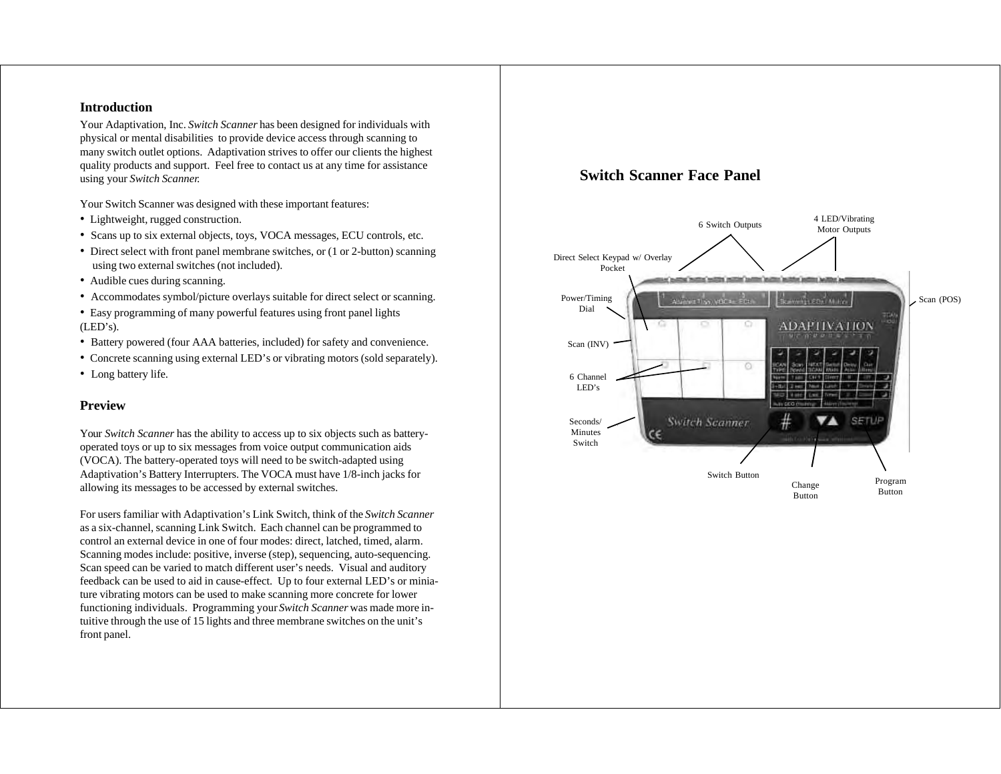#### **Introduction**

Your Adaptivation, Inc. *Switch Scanner* has been designed for individuals with physical or mental disabilities to provide device access through scanning to many switch outlet options. Adaptivation strives to offer our clients the highest quality products and support. Feel free to contact us at any time for assistance using your *Switch Scanner.*

Your Switch Scanner was designed with these important features:

- Lightweight, rugged construction.
- Scans up to six external objects, toys, VOCA messages, ECU controls, etc.
- Direct select with front panel membrane switches, or (1 or 2-button) scanning using two external switches (not included).
- Audible cues during scanning.
- Accommodates symbol/picture overlays suitable for direct select or scanning.

• Easy programming of many powerful features using front panel lights (LED's).

- Battery powered (four AAA batteries, included) for safety and convenience.
- Concrete scanning using external LED's or vibrating motors (sold separately).
- Long battery life.

#### **Preview**

Your *Switch Scanner* has the ability to access up to six objects such as batteryoperated toys or up to six messages from voice output communication aids (VOCA). The battery-operated toys will need to be switch-adapted using Adaptivation's Battery Interrupters. The VOCA must have 1/8-inch jacks for allowing its messages to be accessed by external switches.

For users familiar with Adaptivation's Link Switch, think of the *Switch Scanner* as a six-channel, scanning Link Switch. Each channel can be programmed to control an external device in one of four modes: direct, latched, timed, alarm. Scanning modes include: positive, inverse (step), sequencing, auto-sequencing. Scan speed can be varied to match different user's needs. Visual and auditory feedback can be used to aid in cause-effect. Up to four external LED's or miniature vibrating motors can be used to make scanning more concrete for lower functioning individuals. Programming your *Switch Scanner* was made more intuitive through the use of 15 lights and three membrane switches on the unit's front panel.

# **Switch Scanner Face Panel**

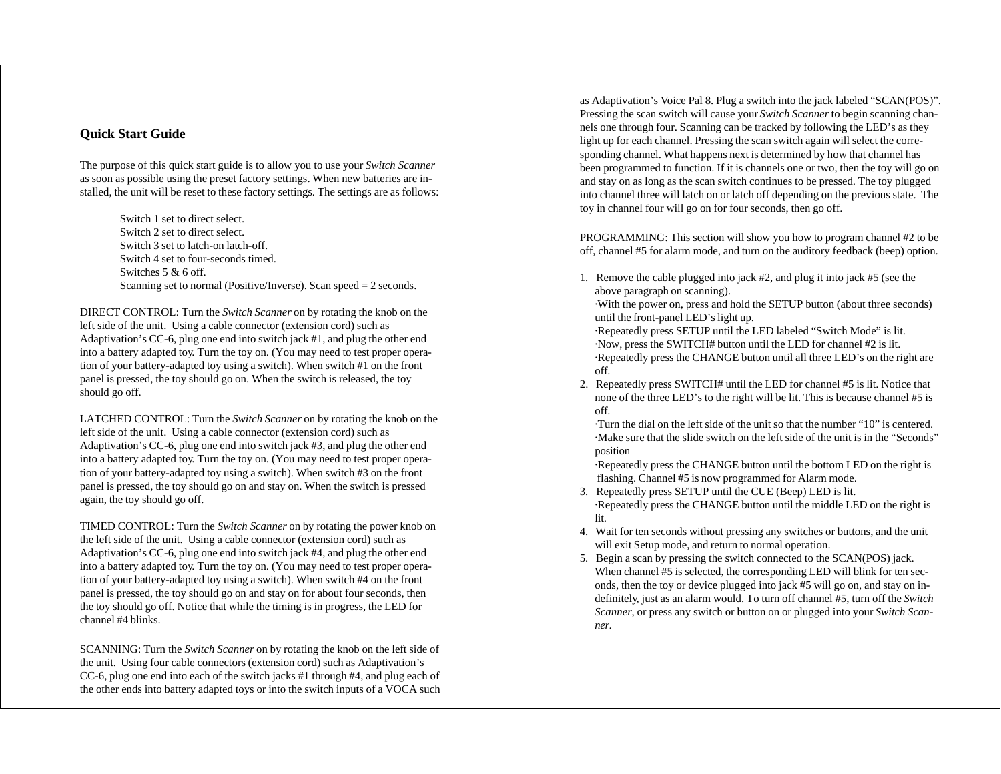#### **Quick Start Guide**

The purpose of this quick start guide is to allow you to use your *Switch Scanner* as soon as possible using the preset factory settings. When new batteries are installed, the unit will be reset to these factory settings. The settings are as follows:

> Switch 1 set to direct select. Switch 2 set to direct select. Switch 3 set to latch-on latch-off. Switch 4 set to four-seconds timed. Switches 5 & 6 off. Scanning set to normal (Positive/Inverse). Scan speed = 2 seconds.

DIRECT CONTROL: Turn the *Switch Scanner* on by rotating the knob on the left side of the unit. Using a cable connector (extension cord) such as Adaptivation's CC-6, plug one end into switch jack #1, and plug the other end into a battery adapted toy. Turn the toy on. (You may need to test proper operation of your battery-adapted toy using a switch). When switch #1 on the front panel is pressed, the toy should go on. When the switch is released, the toy should go off.

LATCHED CONTROL: Turn the *Switch Scanner* on by rotating the knob on the left side of the unit. Using a cable connector (extension cord) such as Adaptivation's CC-6, plug one end into switch jack #3, and plug the other end into a battery adapted toy. Turn the toy on. (You may need to test proper operation of your battery-adapted toy using a switch). When switch #3 on the front panel is pressed, the toy should go on and stay on. When the switch is pressed again, the toy should go off.

TIMED CONTROL: Turn the *Switch Scanner* on by rotating the power knob on the left side of the unit. Using a cable connector (extension cord) such as Adaptivation's CC-6, plug one end into switch jack #4, and plug the other end into a battery adapted toy. Turn the toy on. (You may need to test proper operation of your battery-adapted toy using a switch). When switch #4 on the front panel is pressed, the toy should go on and stay on for about four seconds, then the toy should go off. Notice that while the timing is in progress, the LED for channel #4 blinks.

SCANNING: Turn the *Switch Scanner* on by rotating the knob on the left side of the unit. Using four cable connectors (extension cord) such as Adaptivation's CC-6, plug one end into each of the switch jacks #1 through #4, and plug each of the other ends into battery adapted toys or into the switch inputs of a VOCA such

as Adaptivation's Voice Pal 8. Plug a switch into the jack labeled "SCAN(POS)". Pressing the scan switch will cause your *Switch Scanner* to begin scanning channels one through four. Scanning can be tracked by following the LED's as they light up for each channel. Pressing the scan switch again will select the corresponding channel. What happens next is determined by how that channel has been programmed to function. If it is channels one or two, then the toy will go on and stay on as long as the scan switch continues to be pressed. The toy plugged into channel three will latch on or latch off depending on the previous state. The toy in channel four will go on for four seconds, then go off.

PROGRAMMING: This section will show you how to program channel #2 to be off, channel #5 for alarm mode, and turn on the auditory feedback (beep) option.

1. Remove the cable plugged into jack #2, and plug it into jack #5 (see the above paragraph on scanning).

·With the power on, press and hold the SETUP button (about three seconds) until the front-panel LED's light up.

·Repeatedly press SETUP until the LED labeled "Switch Mode" is lit. ·Now, press the SWITCH# button until the LED for channel #2 is lit. ·Repeatedly press the CHANGE button until all three LED's on the right are off.

2. Repeatedly press SWITCH# until the LED for channel #5 is lit. Notice that none of the three LED's to the right will be lit. This is because channel #5 is off.

·Turn the dial on the left side of the unit so that the number "10" is centered. ·Make sure that the slide switch on the left side of the unit is in the "Seconds" position

·Repeatedly press the CHANGE button until the bottom LED on the right is flashing. Channel #5 is now programmed for Alarm mode.

- 3. Repeatedly press SETUP until the CUE (Beep) LED is lit. ·Repeatedly press the CHANGE button until the middle LED on the right is lit.
- 4. Wait for ten seconds without pressing any switches or buttons, and the unit will exit Setup mode, and return to normal operation.
- 5. Begin a scan by pressing the switch connected to the SCAN(POS) jack. When channel #5 is selected, the corresponding LED will blink for ten seconds, then the toy or device plugged into jack #5 will go on, and stay on indefinitely, just as an alarm would. To turn off channel #5, turn off the *Switch Scanner*, or press any switch or button on or plugged into your *Switch Scanner*.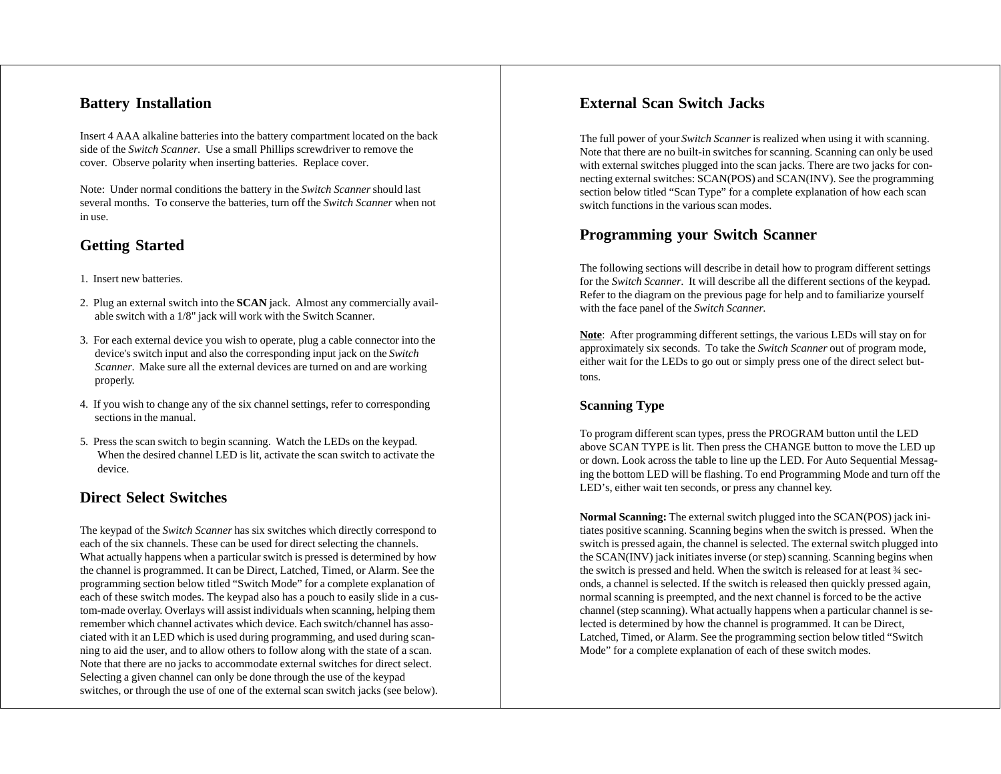# **Battery Installation**

Insert 4 AAA alkaline batteries into the battery compartment located on the back side of the *Switch Scanner*. Use a small Phillips screwdriver to remove the cover. Observe polarity when inserting batteries. Replace cover.

Note: Under normal conditions the battery in the *Switch Scanner* should last several months. To conserve the batteries, turn off the *Switch Scanner* when not in use.

# **Getting Started**

- 1. Insert new batteries.
- 2. Plug an external switch into the **SCAN** jack. Almost any commercially available switch with a 1/8" jack will work with the Switch Scanner.
- 3. For each external device you wish to operate, plug a cable connector into the device's switch input and also the corresponding input jack on the *Switch Scanner*. Make sure all the external devices are turned on and are working properly.
- 4. If you wish to change any of the six channel settings, refer to corresponding sections in the manual.
- 5. Press the scan switch to begin scanning. Watch the LEDs on the keypad. When the desired channel LED is lit, activate the scan switch to activate the device.

# **Direct Select Switches**

The keypad of the *Switch Scanner* has six switches which directly correspond to each of the six channels. These can be used for direct selecting the channels. What actually happens when a particular switch is pressed is determined by how the channel is programmed. It can be Direct, Latched, Timed, or Alarm. See the programming section below titled "Switch Mode" for a complete explanation of each of these switch modes. The keypad also has a pouch to easily slide in a custom-made overlay. Overlays will assist individuals when scanning, helping them remember which channel activates which device. Each switch/channel has associated with it an LED which is used during programming, and used during scanning to aid the user, and to allow others to follow along with the state of a scan. Note that there are no jacks to accommodate external switches for direct select. Selecting a given channel can only be done through the use of the keypad switches, or through the use of one of the external scan switch jacks (see below).

# **External Scan Switch Jacks**

The full power of your *Switch Scanner* is realized when using it with scanning. Note that there are no built-in switches for scanning. Scanning can only be used with external switches plugged into the scan jacks. There are two jacks for connecting external switches: SCAN(POS) and SCAN(INV). See the programming section below titled "Scan Type" for a complete explanation of how each scan switch functions in the various scan modes.

# **Programming your Switch Scanner**

The following sections will describe in detail how to program different settings for the *Switch Scanner*. It will describe all the different sections of the keypad. Refer to the diagram on the previous page for help and to familiarize yourself with the face panel of the *Switch Scanner*.

**Note**: After programming different settings, the various LEDs will stay on for approximately six seconds. To take the *Switch Scanner* out of program mode, either wait for the LEDs to go out or simply press one of the direct select buttons.

### **Scanning Type**

To program different scan types, press the PROGRAM button until the LED above SCAN TYPE is lit. Then press the CHANGE button to move the LED up or down. Look across the table to line up the LED. For Auto Sequential Messaging the bottom LED will be flashing. To end Programming Mode and turn off the LED's, either wait ten seconds, or press any channel key.

**Normal Scanning:** The external switch plugged into the SCAN(POS) jack initiates positive scanning. Scanning begins when the switch is pressed. When the switch is pressed again, the channel is selected. The external switch plugged into the SCAN(INV) jack initiates inverse (or step) scanning. Scanning begins when the switch is pressed and held. When the switch is released for at least ¾ seconds, a channel is selected. If the switch is released then quickly pressed again, normal scanning is preempted, and the next channel is forced to be the active channel (step scanning). What actually happens when a particular channel is selected is determined by how the channel is programmed. It can be Direct, Latched, Timed, or Alarm. See the programming section below titled "Switch Mode" for a complete explanation of each of these switch modes.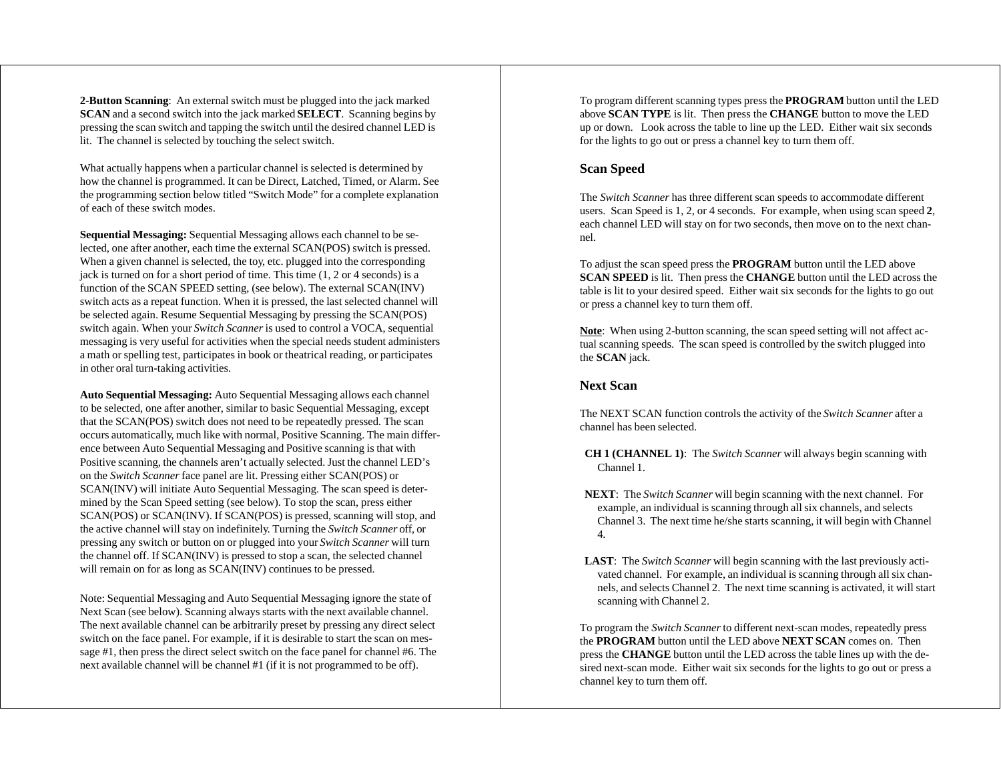**2-Button Scanning**: An external switch must be plugged into the jack marked **SCAN** and a second switch into the jack marked **SELECT**. Scanning begins by pressing the scan switch and tapping the switch until the desired channel LED is lit. The channel is selected by touching the select switch.

What actually happens when a particular channel is selected is determined by how the channel is programmed. It can be Direct, Latched, Timed, or Alarm. See the programming section below titled "Switch Mode" for a complete explanation of each of these switch modes.

**Sequential Messaging:** Sequential Messaging allows each channel to be selected, one after another, each time the external SCAN(POS) switch is pressed. When a given channel is selected, the toy, etc. plugged into the corresponding jack is turned on for a short period of time. This time (1, 2 or 4 seconds) is a function of the SCAN SPEED setting, (see below). The external SCAN(INV) switch acts as a repeat function. When it is pressed, the last selected channel will be selected again. Resume Sequential Messaging by pressing the SCAN(POS) switch again. When your *Switch Scanner* is used to control a VOCA, sequential messaging is very useful for activities when the special needs student administers a math or spelling test, participates in book or theatrical reading, or participates in other oral turn-taking activities.

**Auto Sequential Messaging:** Auto Sequential Messaging allows each channel to be selected, one after another, similar to basic Sequential Messaging, except that the SCAN(POS) switch does not need to be repeatedly pressed. The scan occurs automatically, much like with normal, Positive Scanning. The main difference between Auto Sequential Messaging and Positive scanning is that with Positive scanning, the channels aren't actually selected. Just the channel LED's on the *Switch Scanner* face panel are lit. Pressing either SCAN(POS) or SCAN(INV) will initiate Auto Sequential Messaging. The scan speed is determined by the Scan Speed setting (see below). To stop the scan, press either SCAN(POS) or SCAN(INV). If SCAN(POS) is pressed, scanning will stop, and the active channel will stay on indefinitely. Turning the *Switch Scanner* off, or pressing any switch or button on or plugged into your *Switch Scanner* will turn the channel off. If SCAN(INV) is pressed to stop a scan, the selected channel will remain on for as long as SCAN(INV) continues to be pressed.

Note: Sequential Messaging and Auto Sequential Messaging ignore the state of Next Scan (see below). Scanning always starts with the next available channel. The next available channel can be arbitrarily preset by pressing any direct select switch on the face panel. For example, if it is desirable to start the scan on message #1, then press the direct select switch on the face panel for channel #6. The next available channel will be channel #1 (if it is not programmed to be off).

To program different scanning types press the **PROGRAM** button until the LED above **SCAN TYPE** is lit. Then press the **CHANGE** button to move the LED up or down. Look across the table to line up the LED. Either wait six seconds for the lights to go out or press a channel key to turn them off.

#### **Scan Speed**

The *Switch Scanner* has three different scan speeds to accommodate different users. Scan Speed is 1, 2, or 4 seconds. For example, when using scan speed **2**, each channel LED will stay on for two seconds, then move on to the next channel.

To adjust the scan speed press the **PROGRAM** button until the LED above **SCAN SPEED** is lit. Then press the **CHANGE** button until the LED across the table is lit to your desired speed. Either wait six seconds for the lights to go out or press a channel key to turn them off.

**Note**: When using 2-button scanning, the scan speed setting will not affect actual scanning speeds. The scan speed is controlled by the switch plugged into the **SCAN** jack.

#### **Next Scan**

The NEXT SCAN function controls the activity of the *Switch Scanner* after a channel has been selected.

- **CH 1 (CHANNEL 1)**: The *Switch Scanner* will always begin scanning with Channel 1.
- **NEXT**: The *Switch Scanner* will begin scanning with the next channel. For example, an individual is scanning through all six channels, and selects Channel 3. The next time he/she starts scanning, it will begin with Channel 4.
- **LAST**: The *Switch Scanner* will begin scanning with the last previously activated channel. For example, an individual is scanning through all six channels, and selects Channel 2. The next time scanning is activated, it will start scanning with Channel 2.

To program the *Switch Scanner* to different next-scan modes, repeatedly press the **PROGRAM** button until the LED above **NEXT SCAN** comes on. Then press the **CHANGE** button until the LED across the table lines up with the desired next-scan mode. Either wait six seconds for the lights to go out or press a channel key to turn them off.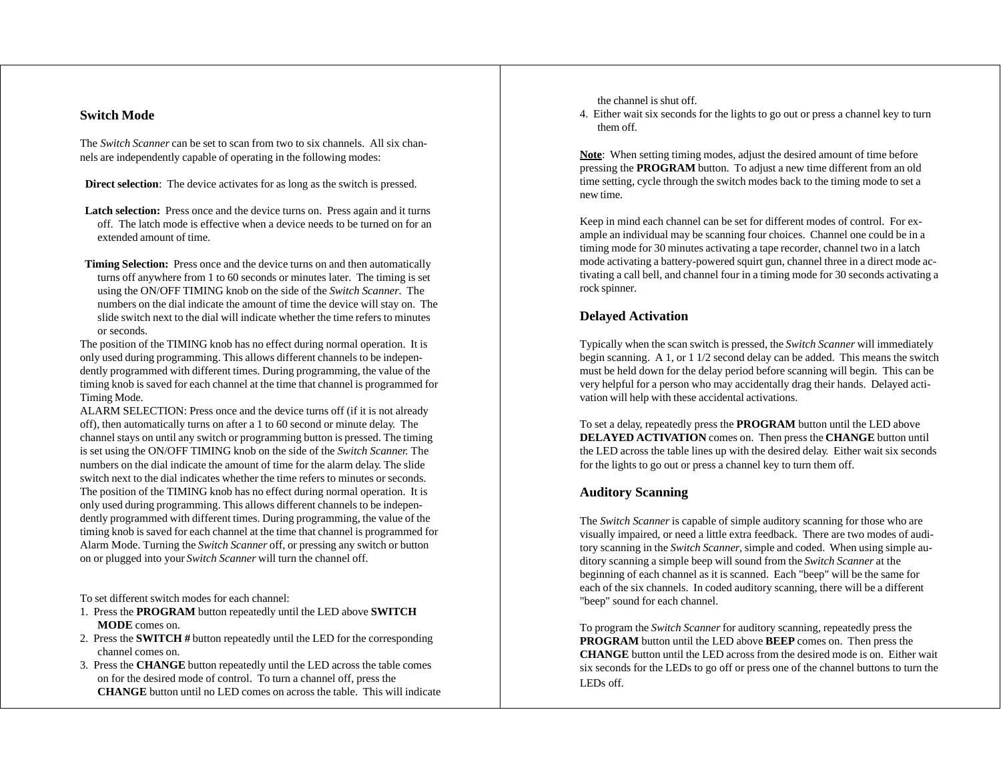#### **Switch Mode**

The *Switch Scanner* can be set to scan from two to six channels. All six channels are independently capable of operating in the following modes:

**Direct selection**: The device activates for as long as the switch is pressed.

- Latch selection: Press once and the device turns on. Press again and it turns off. The latch mode is effective when a device needs to be turned on for an extended amount of time.
- **Timing Selection:** Press once and the device turns on and then automatically turns off anywhere from 1 to 60 seconds or minutes later. The timing is set using the ON/OFF TIMING knob on the side of the *Switch Scanner*. The numbers on the dial indicate the amount of time the device will stay on. The slide switch next to the dial will indicate whether the time refers to minutes or seconds.

The position of the TIMING knob has no effect during normal operation. It is only used during programming. This allows different channels to be independently programmed with different times. During programming, the value of the timing knob is saved for each channel at the time that channel is programmed for Timing Mode.

ALARM SELECTION: Press once and the device turns off (if it is not already off), then automatically turns on after a 1 to 60 second or minute delay. The channel stays on until any switch or programming button is pressed. The timing is set using the ON/OFF TIMING knob on the side of the *Switch Scanner.* The numbers on the dial indicate the amount of time for the alarm delay. The slide switch next to the dial indicates whether the time refers to minutes or seconds. The position of the TIMING knob has no effect during normal operation. It is only used during programming. This allows different channels to be independently programmed with different times. During programming, the value of the timing knob is saved for each channel at the time that channel is programmed for Alarm Mode. Turning the *Switch Scanner* off, or pressing any switch or button on or plugged into your *Switch Scanner* will turn the channel off.

To set different switch modes for each channel:

- 1. Press the **PROGRAM** button repeatedly until the LED above **SWITCH MODE** comes on.
- 2. Press the **SWITCH #** button repeatedly until the LED for the corresponding channel comes on.
- 3. Press the **CHANGE** button repeatedly until the LED across the table comes on for the desired mode of control. To turn a channel off, press the **CHANGE** button until no LED comes on across the table. This will indicate

the channel is shut off.

4. Either wait six seconds for the lights to go out or press a channel key to turn them off.

**Note**: When setting timing modes, adjust the desired amount of time before pressing the **PROGRAM** button. To adjust a new time different from an old time setting, cycle through the switch modes back to the timing mode to set a new time.

Keep in mind each channel can be set for different modes of control. For example an individual may be scanning four choices. Channel one could be in a timing mode for 30 minutes activating a tape recorder, channel two in a latch mode activating a battery-powered squirt gun, channel three in a direct mode activating a call bell, and channel four in a timing mode for 30 seconds activating a rock spinner.

#### **Delayed Activation**

Typically when the scan switch is pressed, the *Switch Scanner* will immediately begin scanning. A 1, or 1 1/2 second delay can be added. This means the switch must be held down for the delay period before scanning will begin. This can be very helpful for a person who may accidentally drag their hands. Delayed activation will help with these accidental activations.

To set a delay, repeatedly press the **PROGRAM** button until the LED above **DELAYED ACTIVATION** comes on. Then press the **CHANGE** button until the LED across the table lines up with the desired delay. Either wait six seconds for the lights to go out or press a channel key to turn them off.

#### **Auditory Scanning**

The *Switch Scanner* is capable of simple auditory scanning for those who are visually impaired, or need a little extra feedback. There are two modes of auditory scanning in the *Switch Scanner*, simple and coded. When using simple auditory scanning a simple beep will sound from the *Switch Scanner* at the beginning of each channel as it is scanned. Each "beep" will be the same for each of the six channels. In coded auditory scanning, there will be a different "beep" sound for each channel.

To program the *Switch Scanner* for auditory scanning, repeatedly press the **PROGRAM** button until the LED above **BEEP** comes on. Then press the **CHANGE** button until the LED across from the desired mode is on. Either wait six seconds for the LEDs to go off or press one of the channel buttons to turn the LEDs off.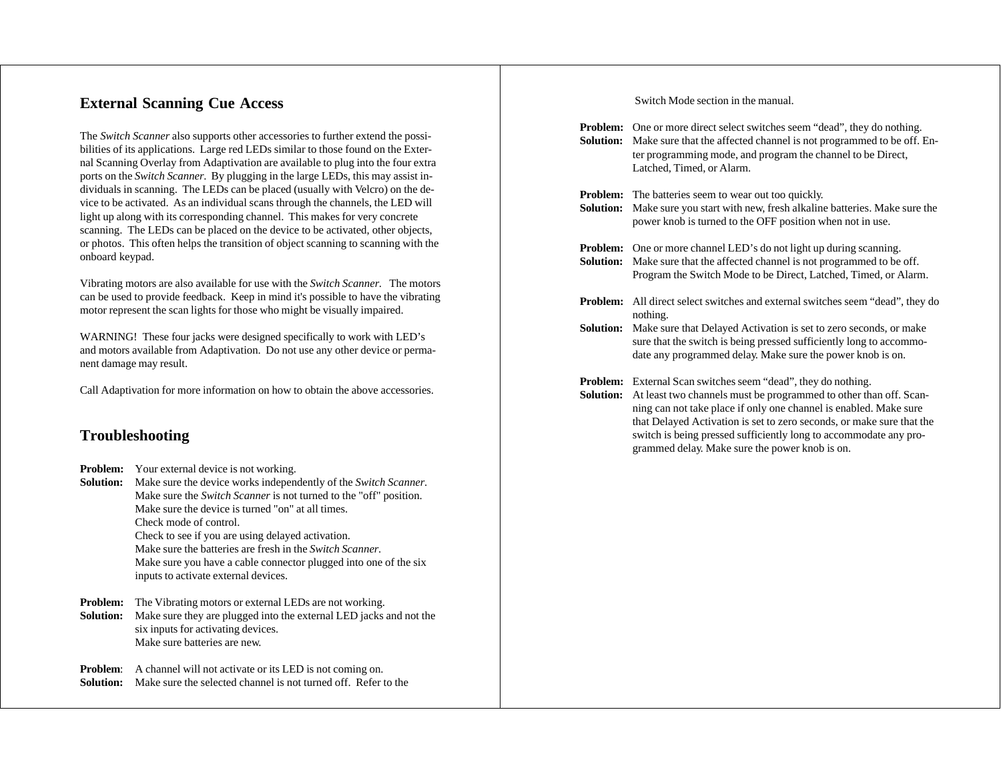## **External Scanning Cue Access**

The *Switch Scanner* also supports other accessories to further extend the possibilities of its applications. Large red LEDs similar to those found on the External Scanning Overlay from Adaptivation are available to plug into the four extra ports on the *Switch Scanner*. By plugging in the large LEDs, this may assist individuals in scanning. The LEDs can be placed (usually with Velcro) on the device to be activated. As an individual scans through the channels, the LED will light up along with its corresponding channel. This makes for very concrete scanning. The LEDs can be placed on the device to be activated, other objects, or photos. This often helps the transition of object scanning to scanning with the onboard keypad.

Vibrating motors are also available for use with the *Switch Scanner*. The motors can be used to provide feedback. Keep in mind it's possible to have the vibrating motor represent the scan lights for those who might be visually impaired.

WARNING! These four jacks were designed specifically to work with LED's and motors available from Adaptivation. Do not use any other device or permanent damage may result.

Call Adaptivation for more information on how to obtain the above accessories.

# **Troubleshooting**

- **Problem:** Your external device is not working.
- **Solution:** Make sure the device works independently of the *Switch Scanner*. Make sure the *Switch Scanner* is not turned to the "off" position. Make sure the device is turned "on" at all times. Check mode of control. Check to see if you are using delayed activation. Make sure the batteries are fresh in the *Switch Scanner*. Make sure you have a cable connector plugged into one of the six inputs to activate external devices.
- **Problem:** The Vibrating motors or external LEDs are not working. **Solution:** Make sure they are plugged into the external LED jacks and not the six inputs for activating devices. Make sure batteries are new.

**Problem:** A channel will not activate or its LED is not coming on. **Solution:** Make sure the selected channel is not turned off. Refer to the Switch Mode section in the manual.

| Problem:<br>Solution:               | One or more direct select switches seem "dead", they do nothing.<br>Make sure that the affected channel is not programmed to be off. En-<br>ter programming mode, and program the channel to be Direct,<br>Latched, Timed, or Alarm.                                                 |
|-------------------------------------|--------------------------------------------------------------------------------------------------------------------------------------------------------------------------------------------------------------------------------------------------------------------------------------|
| <b>Problem:</b><br><b>Solution:</b> | The batteries seem to wear out too quickly.<br>Make sure you start with new, fresh alkaline batteries. Make sure the<br>power knob is turned to the OFF position when not in use.                                                                                                    |
| <b>Problem:</b><br>Solution:        | One or more channel LED's do not light up during scanning.<br>Make sure that the affected channel is not programmed to be off.<br>Program the Switch Mode to be Direct, Latched, Timed, or Alarm.                                                                                    |
| <b>Problem:</b>                     | All direct select switches and external switches seem "dead", they do<br>nothing.                                                                                                                                                                                                    |
| Solution:                           | Make sure that Delayed Activation is set to zero seconds, or make<br>sure that the switch is being pressed sufficiently long to accommo-<br>date any programmed delay. Make sure the power knob is on.                                                                               |
| <b>Problem:</b>                     | External Scan switches seem "dead", they do nothing.                                                                                                                                                                                                                                 |
| Solution:                           | At least two channels must be programmed to other than off. Scan-<br>ning can not take place if only one channel is enabled. Make sure<br>that Delayed Activation is set to zero seconds, or make sure that the<br>switch is being pressed sufficiently long to accommodate any pro- |

grammed delay. Make sure the power knob is on.